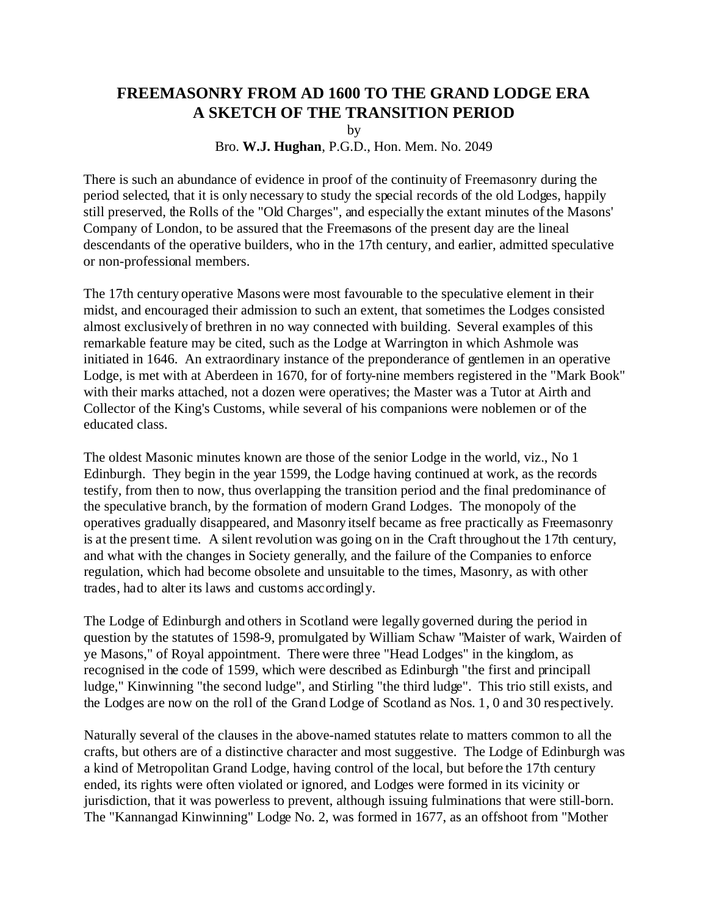## **FREEMASONRY FROM AD 1600 TO THE GRAND LODGE ERA A SKETCH OF THE TRANSITION PERIOD**

by

Bro. **W.J. Hughan**, P.G.D., Hon. Mem. No. 2049

There is such an abundance of evidence in proof of the continuity of Freemasonry during the period selected, that it is only necessary to study the special records of the old Lodges, happily still preserved, the Rolls of the "Old Charges", and especially the extant minutes of the Masons' Company of London, to be assured that the Freemasons of the present day are the lineal descendants of the operative builders, who in the 17th century, and earlier, admitted speculative or non-professional members.

The 17th century operative Masons were most favourable to the speculative element in their midst, and encouraged their admission to such an extent, that sometimes the Lodges consisted almost exclusively of brethren in no way connected with building. Several examples of this remarkable feature may be cited, such as the Lodge at Warrington in which Ashmole was initiated in 1646. An extraordinary instance of the preponderance of gentlemen in an operative Lodge, is met with at Aberdeen in 1670, for of forty-nine members registered in the "Mark Book" with their marks attached, not a dozen were operatives; the Master was a Tutor at Airth and Collector of the King's Customs, while several of his companions were noblemen or of the educated class.

The oldest Masonic minutes known are those of the senior Lodge in the world, viz., No 1 Edinburgh. They begin in the year 1599, the Lodge having continued at work, as the records testify, from then to now, thus overlapping the transition period and the final predominance of the speculative branch, by the formation of modern Grand Lodges. The monopoly of the operatives gradually disappeared, and Masonry itself became as free practically as Freemasonry is at the present time. A silent revolution was going on in the Craft throughout the 17th century, and what with the changes in Society generally, and the failure of the Companies to enforce regulation, which had become obsolete and unsuitable to the times, Masonry, as with other trades, had to alter its laws and customs accordingly.

The Lodge of Edinburgh and others in Scotland were legally governed during the period in question by the statutes of 1598-9, promulgated by William Schaw "Maister of wark, Wairden of ye Masons," of Royal appointment. There were three "Head Lodges" in the kingdom, as recognised in the code of 1599, which were described as Edinburgh "the first and principall ludge," Kinwinning "the second ludge", and Stirling "the third ludge". This trio still exists, and the Lodges are now on the roll of the Grand Lodge of Scotland as Nos. 1, 0 and 30 respectively.

Naturally several of the clauses in the above-named statutes relate to matters common to all the crafts, but others are of a distinctive character and most suggestive. The Lodge of Edinburgh was a kind of Metropolitan Grand Lodge, having control of the local, but before the 17th century ended, its rights were often violated or ignored, and Lodges were formed in its vicinity or jurisdiction, that it was powerless to prevent, although issuing fulminations that were still-born. The "Kannangad Kinwinning" Lodge No. 2, was formed in 1677, as an offshoot from "Mother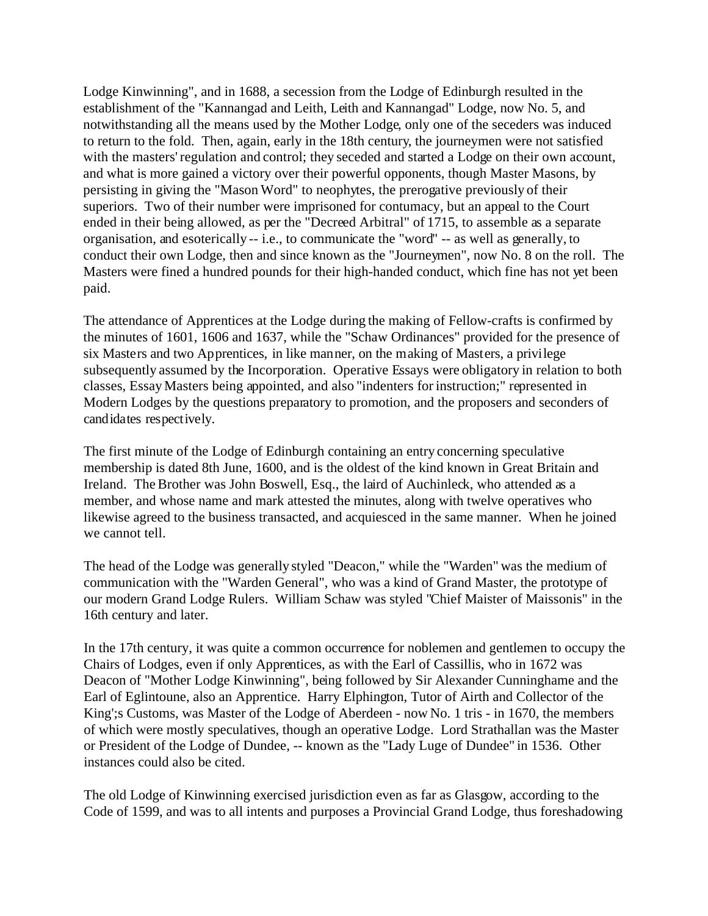Lodge Kinwinning", and in 1688, a secession from the Lodge of Edinburgh resulted in the establishment of the "Kannangad and Leith, Leith and Kannangad" Lodge, now No. 5, and notwithstanding all the means used by the Mother Lodge, only one of the seceders was induced to return to the fold. Then, again, early in the 18th century, the journeymen were not satisfied with the masters' regulation and control; they seceded and started a Lodge on their own account, and what is more gained a victory over their powerful opponents, though Master Masons, by persisting in giving the "Mason Word" to neophytes, the prerogative previously of their superiors. Two of their number were imprisoned for contumacy, but an appeal to the Court ended in their being allowed, as per the "Decreed Arbitral" of 1715, to assemble as a separate organisation, and esoterically -- i.e., to communicate the "word" -- as well as generally, to conduct their own Lodge, then and since known as the "Journeymen", now No. 8 on the roll. The Masters were fined a hundred pounds for their high-handed conduct, which fine has not yet been paid.

The attendance of Apprentices at the Lodge during the making of Fellow-crafts is confirmed by the minutes of 1601, 1606 and 1637, while the "Schaw Ordinances" provided for the presence of six Masters and two Apprentices, in like manner, on the making of Masters, a privilege subsequently assumed by the Incorporation. Operative Essays were obligatory in relation to both classes, Essay Masters being appointed, and also "indenters for instruction;" represented in Modern Lodges by the questions preparatory to promotion, and the proposers and seconders of candidates respectively.

The first minute of the Lodge of Edinburgh containing an entry concerning speculative membership is dated 8th June, 1600, and is the oldest of the kind known in Great Britain and Ireland. The Brother was John Boswell, Esq., the laird of Auchinleck, who attended as a member, and whose name and mark attested the minutes, along with twelve operatives who likewise agreed to the business transacted, and acquiesced in the same manner. When he joined we cannot tell.

The head of the Lodge was generally styled "Deacon," while the "Warden" was the medium of communication with the "Warden General", who was a kind of Grand Master, the prototype of our modern Grand Lodge Rulers. William Schaw was styled "Chief Maister of Maissonis" in the 16th century and later.

In the 17th century, it was quite a common occurrence for noblemen and gentlemen to occupy the Chairs of Lodges, even if only Apprentices, as with the Earl of Cassillis, who in 1672 was Deacon of "Mother Lodge Kinwinning", being followed by Sir Alexander Cunninghame and the Earl of Eglintoune, also an Apprentice. Harry Elphington, Tutor of Airth and Collector of the King';s Customs, was Master of the Lodge of Aberdeen - now No. 1 tris - in 1670, the members of which were mostly speculatives, though an operative Lodge. Lord Strathallan was the Master or President of the Lodge of Dundee, -- known as the "Lady Luge of Dundee" in 1536. Other instances could also be cited.

The old Lodge of Kinwinning exercised jurisdiction even as far as Glasgow, according to the Code of 1599, and was to all intents and purposes a Provincial Grand Lodge, thus foreshadowing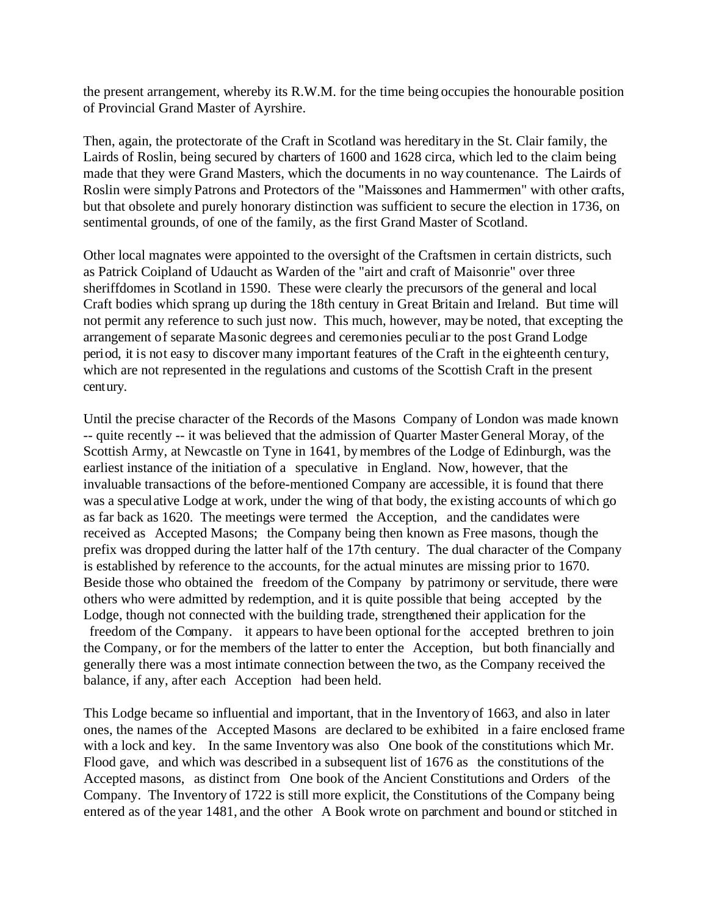the present arrangement, whereby its R.W.M. for the time being occupies the honourable position of Provincial Grand Master of Ayrshire.

Then, again, the protectorate of the Craft in Scotland was hereditary in the St. Clair family, the Lairds of Roslin, being secured by charters of 1600 and 1628 circa, which led to the claim being made that they were Grand Masters, which the documents in no way countenance. The Lairds of Roslin were simply Patrons and Protectors of the "Maissones and Hammermen" with other crafts, but that obsolete and purely honorary distinction was sufficient to secure the election in 1736, on sentimental grounds, of one of the family, as the first Grand Master of Scotland.

Other local magnates were appointed to the oversight of the Craftsmen in certain districts, such as Patrick Coipland of Udaucht as Warden of the "airt and craft of Maisonrie" over three sheriffdomes in Scotland in 1590. These were clearly the precursors of the general and local Craft bodies which sprang up during the 18th century in Great Britain and Ireland. But time will not permit any reference to such just now. This much, however, may be noted, that excepting the arrangement of separate Masonic degrees and ceremonies peculiar to the post Grand Lodge period, it is not easy to discover many important features of the Craft in the eighteenth century, which are not represented in the regulations and customs of the Scottish Craft in the present century.

Until the precise character of the Records of the Masons Company of London was made known -- quite recently -- it was believed that the admission of Quarter Master General Moray, of the Scottish Army, at Newcastle on Tyne in 1641, by membres of the Lodge of Edinburgh, was the earliest instance of the initiation of a speculative in England. Now, however, that the invaluable transactions of the before-mentioned Company are accessible, it is found that there was a speculative Lodge at work, under the wing of that body, the existing accounts of which go as far back as 1620. The meetings were termed the Acception, and the candidates were received as Accepted Masons; the Company being then known as Free masons, though the prefix was dropped during the latter half of the 17th century. The dual character of the Company is established by reference to the accounts, for the actual minutes are missing prior to 1670. Beside those who obtained the freedom of the Company by patrimony or servitude, there were others who were admitted by redemption, and it is quite possible that being accepted by the Lodge, though not connected with the building trade, strengthened their application for the freedom of the Company. it appears to have been optional for the accepted brethren to join the Company, or for the members of the latter to enter the Acception, but both financially and generally there was a most intimate connection between the two, as the Company received the balance, if any, after each Acception had been held.

This Lodge became so influential and important, that in the Inventory of 1663, and also in later ones, the names of the Accepted Masons are declared to be exhibited in a faire enclosed frame with a lock and key. In the same Inventory was also One book of the constitutions which Mr. Flood gave, and which was described in a subsequent list of 1676 as the constitutions of the Accepted masons, as distinct from One book of the Ancient Constitutions and Orders of the Company. The Inventory of 1722 is still more explicit, the Constitutions of the Company being entered as of the year 1481, and the other A Book wrote on parchment and bound or stitched in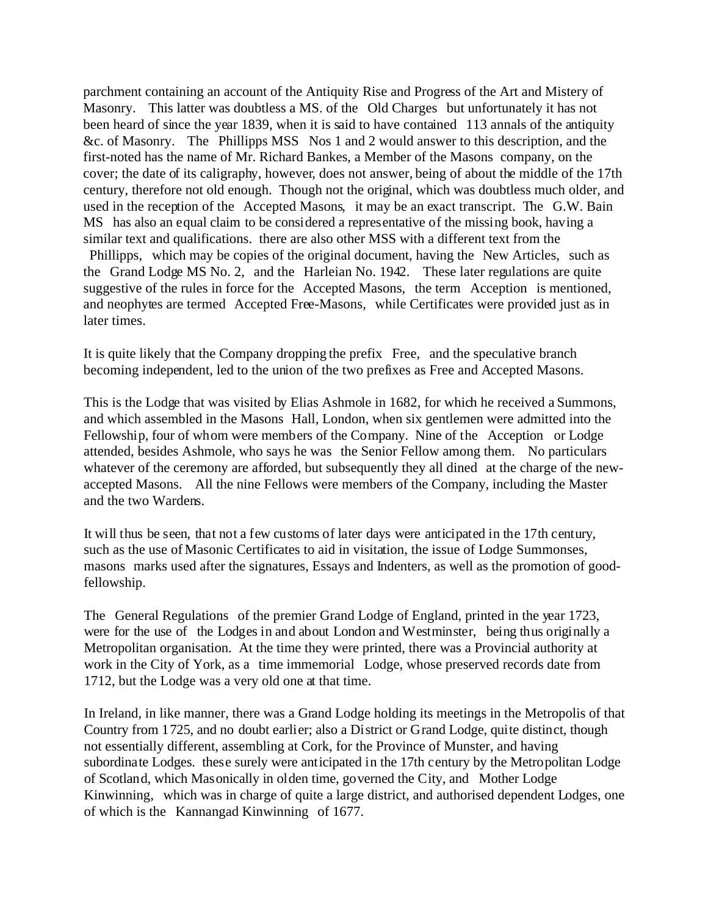parchment containing an account of the Antiquity Rise and Progress of the Art and Mistery of Masonry. This latter was doubtless a MS. of the Old Charges but unfortunately it has not been heard of since the year 1839, when it is said to have contained 113 annals of the antiquity &c. of Masonry. The Phillipps MSS Nos 1 and 2 would answer to this description, and the first-noted has the name of Mr. Richard Bankes, a Member of the Masons company, on the cover; the date of its caligraphy, however, does not answer, being of about the middle of the 17th century, therefore not old enough. Though not the original, which was doubtless much older, and used in the reception of the Accepted Masons, it may be an exact transcript. The G.W. Bain MS has also an equal claim to be considered a representative of the missing book, having a similar text and qualifications. there are also other MSS with a different text from the

 Phillipps, which may be copies of the original document, having the New Articles, such as the Grand Lodge MS No. 2, and the Harleian No. 1942. These later regulations are quite suggestive of the rules in force for the Accepted Masons, the term Acception is mentioned, and neophytes are termed Accepted Free-Masons, while Certificates were provided just as in later times.

It is quite likely that the Company dropping the prefix Free, and the speculative branch becoming independent, led to the union of the two prefixes as Free and Accepted Masons.

This is the Lodge that was visited by Elias Ashmole in 1682, for which he received a Summons, and which assembled in the Masons Hall, London, when six gentlemen were admitted into the Fellowship, four of whom were members of the Company. Nine of the Acception or Lodge attended, besides Ashmole, who says he was the Senior Fellow among them. No particulars whatever of the ceremony are afforded, but subsequently they all dined at the charge of the newaccepted Masons. All the nine Fellows were members of the Company, including the Master and the two Wardens.

It will thus be seen, that not a few customs of later days were anticipated in the 17th century, such as the use of Masonic Certificates to aid in visitation, the issue of Lodge Summonses, masons marks used after the signatures, Essays and Indenters, as well as the promotion of goodfellowship.

The General Regulations of the premier Grand Lodge of England, printed in the year 1723, were for the use of the Lodges in and about London and Westminster, being thus originally a Metropolitan organisation. At the time they were printed, there was a Provincial authority at work in the City of York, as a time immemorial Lodge, whose preserved records date from 1712, but the Lodge was a very old one at that time.

In Ireland, in like manner, there was a Grand Lodge holding its meetings in the Metropolis of that Country from 1725, and no doubt earlier; also a District or Grand Lodge, quite distinct, though not essentially different, assembling at Cork, for the Province of Munster, and having subordinate Lodges. these surely were anticipated in the 17th century by the Metropolitan Lodge of Scotland, which Masonically in olden time, governed the City, and Mother Lodge Kinwinning, which was in charge of quite a large district, and authorised dependent Lodges, one of which is the Kannangad Kinwinning of 1677.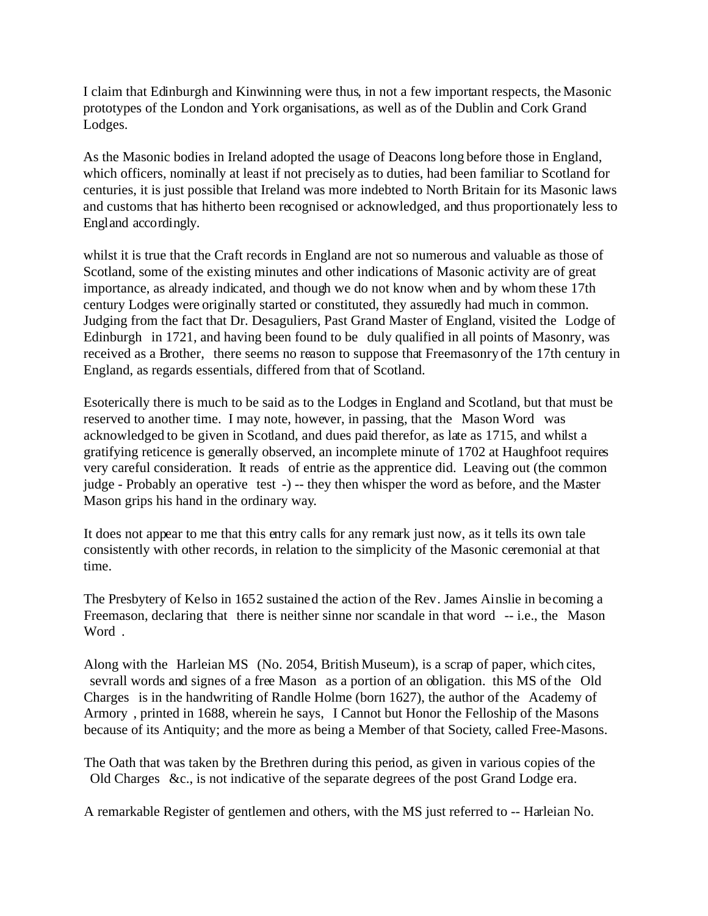I claim that Edinburgh and Kinwinning were thus, in not a few important respects, the Masonic prototypes of the London and York organisations, as well as of the Dublin and Cork Grand Lodges.

As the Masonic bodies in Ireland adopted the usage of Deacons long before those in England, which officers, nominally at least if not precisely as to duties, had been familiar to Scotland for centuries, it is just possible that Ireland was more indebted to North Britain for its Masonic laws and customs that has hitherto been recognised or acknowledged, and thus proportionately less to England accordingly.

whilst it is true that the Craft records in England are not so numerous and valuable as those of Scotland, some of the existing minutes and other indications of Masonic activity are of great importance, as already indicated, and though we do not know when and by whom these 17th century Lodges were originally started or constituted, they assuredly had much in common. Judging from the fact that Dr. Desaguliers, Past Grand Master of England, visited the Lodge of Edinburgh in 1721, and having been found to be duly qualified in all points of Masonry, was received as a Brother, there seems no reason to suppose that Freemasonry of the 17th century in England, as regards essentials, differed from that of Scotland.

Esoterically there is much to be said as to the Lodges in England and Scotland, but that must be reserved to another time. I may note, however, in passing, that the Mason Word was acknowledged to be given in Scotland, and dues paid therefor, as late as 1715, and whilst a gratifying reticence is generally observed, an incomplete minute of 1702 at Haughfoot requires very careful consideration. It reads of entrie as the apprentice did. Leaving out (the common judge - Probably an operative test -) -- they then whisper the word as before, and the Master Mason grips his hand in the ordinary way.

It does not appear to me that this entry calls for any remark just now, as it tells its own tale consistently with other records, in relation to the simplicity of the Masonic ceremonial at that time.

The Presbytery of Kelso in 1652 sustained the action of the Rev. James Ainslie in becoming a Freemason, declaring that there is neither sinne nor scandale in that word -- i.e., the Mason Word.

Along with the Harleian MS (No. 2054, British Museum), is a scrap of paper, which cites, sevrall words and signes of a free Mason as a portion of an obligation. this MS of the Old Charges is in the handwriting of Randle Holme (born 1627), the author of the Academy of Armory , printed in 1688, wherein he says, I Cannot but Honor the Felloship of the Masons because of its Antiquity; and the more as being a Member of that Society, called Free-Masons.

The Oath that was taken by the Brethren during this period, as given in various copies of the Old Charges &c., is not indicative of the separate degrees of the post Grand Lodge era.

A remarkable Register of gentlemen and others, with the MS just referred to -- Harleian No.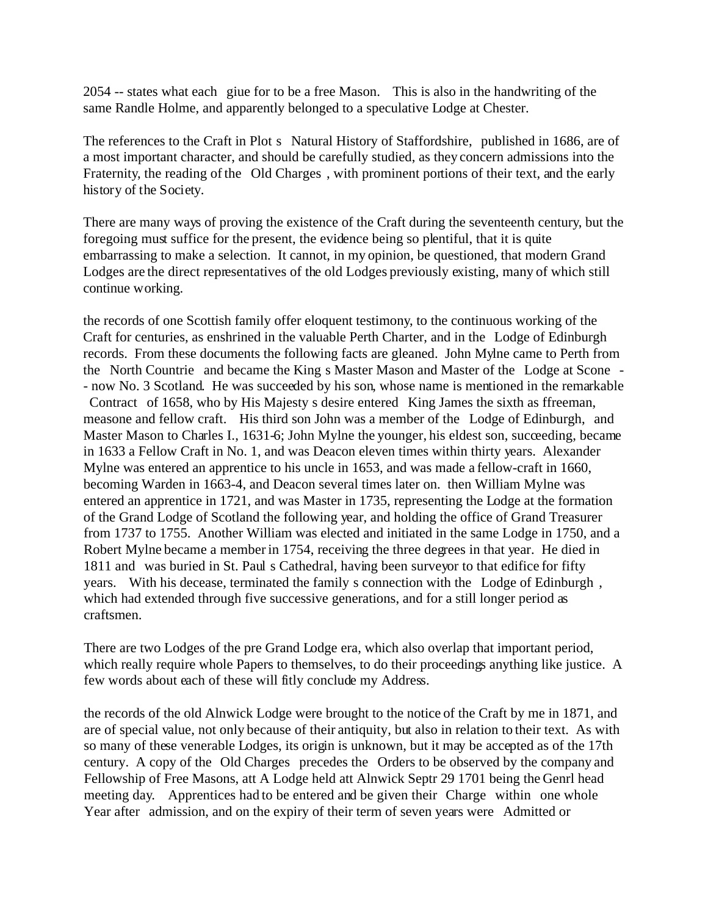2054 -- states what each giue for to be a free Mason. This is also in the handwriting of the same Randle Holme, and apparently belonged to a speculative Lodge at Chester.

The references to the Craft in Plot s Natural History of Staffordshire, published in 1686, are of a most important character, and should be carefully studied, as they concern admissions into the Fraternity, the reading of the Old Charges , with prominent portions of their text, and the early history of the Society.

There are many ways of proving the existence of the Craft during the seventeenth century, but the foregoing must suffice for the present, the evidence being so plentiful, that it is quite embarrassing to make a selection. It cannot, in my opinion, be questioned, that modern Grand Lodges are the direct representatives of the old Lodges previously existing, many of which still continue working.

the records of one Scottish family offer eloquent testimony, to the continuous working of the Craft for centuries, as enshrined in the valuable Perth Charter, and in the Lodge of Edinburgh records. From these documents the following facts are gleaned. John Mylne came to Perth from the North Countrie and became the King s Master Mason and Master of the Lodge at Scone - - now No. 3 Scotland. He was succeeded by his son, whose name is mentioned in the remarkable Contract of 1658, who by His Majesty s desire entered King James the sixth as ffreeman, measone and fellow craft. His third son John was a member of the Lodge of Edinburgh, and Master Mason to Charles I., 1631-6; John Mylne the younger, his eldest son, succeeding, became in 1633 a Fellow Craft in No. 1, and was Deacon eleven times within thirty years. Alexander Mylne was entered an apprentice to his uncle in 1653, and was made a fellow-craft in 1660, becoming Warden in 1663-4, and Deacon several times later on. then William Mylne was entered an apprentice in 1721, and was Master in 1735, representing the Lodge at the formation of the Grand Lodge of Scotland the following year, and holding the office of Grand Treasurer from 1737 to 1755. Another William was elected and initiated in the same Lodge in 1750, and a Robert Mylne became a member in 1754, receiving the three degrees in that year. He died in 1811 and was buried in St. Paul s Cathedral, having been surveyor to that edifice for fifty years. With his decease, terminated the family s connection with the Lodge of Edinburgh , which had extended through five successive generations, and for a still longer period as craftsmen.

There are two Lodges of the pre Grand Lodge era, which also overlap that important period, which really require whole Papers to themselves, to do their proceedings anything like justice. A few words about each of these will fitly conclude my Address.

the records of the old Alnwick Lodge were brought to the notice of the Craft by me in 1871, and are of special value, not only because of their antiquity, but also in relation to their text. As with so many of these venerable Lodges, its origin is unknown, but it may be accepted as of the 17th century. A copy of the Old Charges precedes the Orders to be observed by the company and Fellowship of Free Masons, att A Lodge held att Alnwick Septr 29 1701 being the Genrl head meeting day. Apprentices had to be entered and be given their Charge within one whole Year after admission, and on the expiry of their term of seven years were Admitted or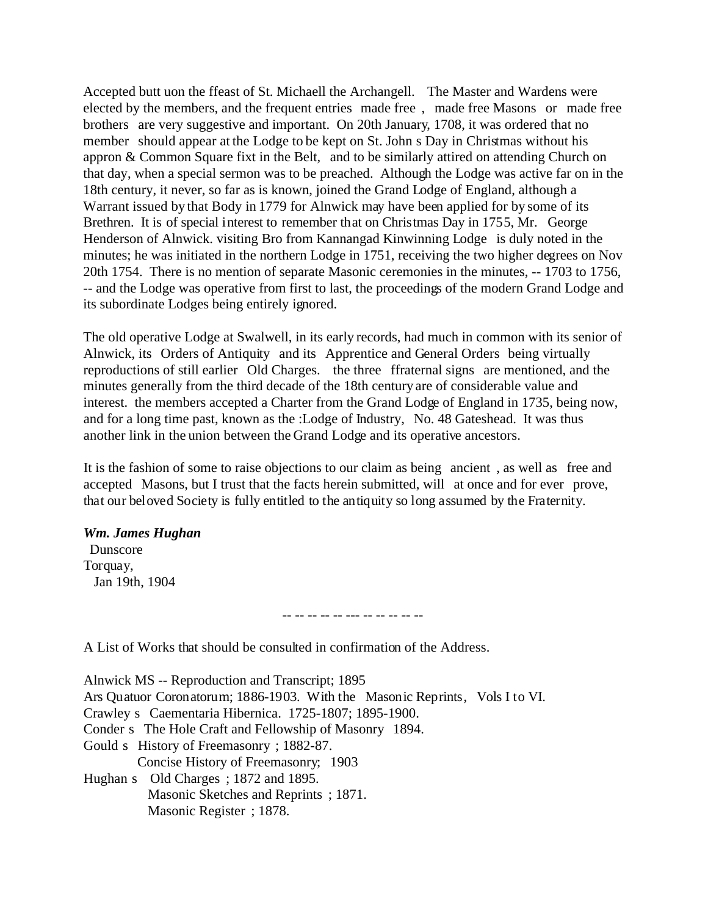Accepted butt uon the ffeast of St. Michaell the Archangell. The Master and Wardens were elected by the members, and the frequent entries made free , made free Masons or made free brothers are very suggestive and important. On 20th January, 1708, it was ordered that no member should appear at the Lodge to be kept on St. John s Day in Christmas without his appron & Common Square fixt in the Belt, and to be similarly attired on attending Church on that day, when a special sermon was to be preached. Although the Lodge was active far on in the 18th century, it never, so far as is known, joined the Grand Lodge of England, although a Warrant issued by that Body in 1779 for Alnwick may have been applied for by some of its Brethren. It is of special interest to remember that on Christmas Day in 1755, Mr. George Henderson of Alnwick. visiting Bro from Kannangad Kinwinning Lodge is duly noted in the minutes; he was initiated in the northern Lodge in 1751, receiving the two higher degrees on Nov 20th 1754. There is no mention of separate Masonic ceremonies in the minutes, -- 1703 to 1756, -- and the Lodge was operative from first to last, the proceedings of the modern Grand Lodge and its subordinate Lodges being entirely ignored.

The old operative Lodge at Swalwell, in its early records, had much in common with its senior of Alnwick, its Orders of Antiquity and its Apprentice and General Orders being virtually reproductions of still earlier Old Charges. the three ffraternal signs are mentioned, and the minutes generally from the third decade of the 18th century are of considerable value and interest. the members accepted a Charter from the Grand Lodge of England in 1735, being now, and for a long time past, known as the :Lodge of Industry, No. 48 Gateshead. It was thus another link in the union between the Grand Lodge and its operative ancestors.

It is the fashion of some to raise objections to our claim as being ancient , as well as free and accepted Masons, but I trust that the facts herein submitted, will at once and for ever prove, that our beloved Society is fully entitled to the antiquity so long assumed by the Fraternity.

## *Wm. James Hughan*

 Dunscore Torquay, Jan 19th, 1904

-- -- -- -- -- --- -- -- -- -- --

A List of Works that should be consulted in confirmation of the Address.

Alnwick MS -- Reproduction and Transcript; 1895 Ars Quatuor Coronatorum; 1886-1903. With the Masonic Reprints, Vols I to VI. Crawley s Caementaria Hibernica. 1725-1807; 1895-1900. Conder s The Hole Craft and Fellowship of Masonry 1894. Gould s History of Freemasonry ; 1882-87. Concise History of Freemasonry; 1903 Hughan s Old Charges; 1872 and 1895. Masonic Sketches and Reprints ; 1871. Masonic Register ; 1878.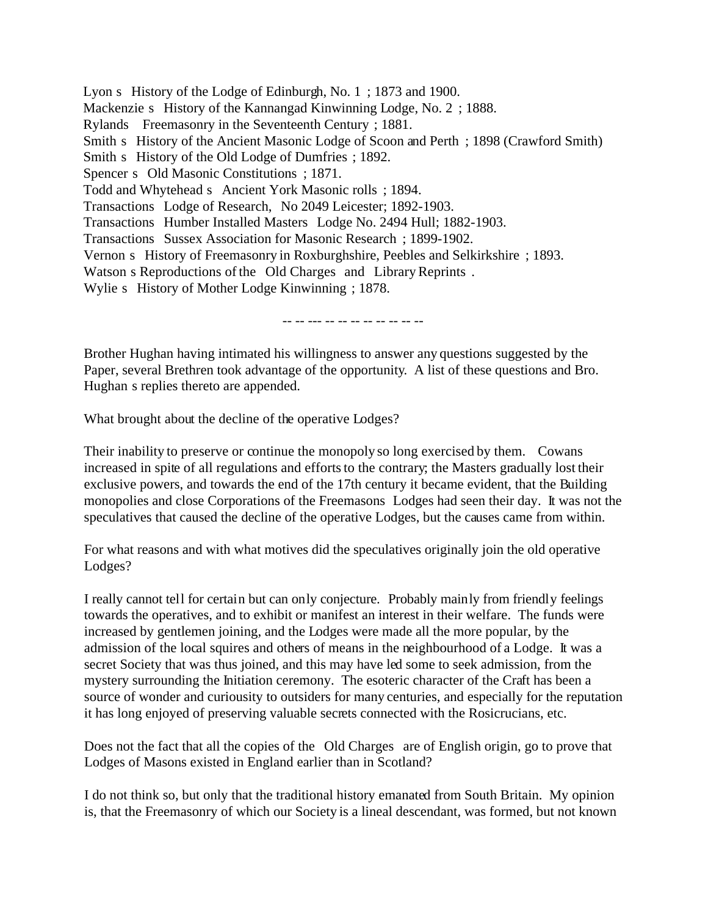Lyon s History of the Lodge of Edinburgh, No. 1 ; 1873 and 1900. Mackenzie s History of the Kannangad Kinwinning Lodge, No. 2 ; 1888. Rylands Freemasonry in the Seventeenth Century ; 1881. Smith s History of the Ancient Masonic Lodge of Scoon and Perth ; 1898 (Crawford Smith) Smith s History of the Old Lodge of Dumfries ; 1892. Spencer s Old Masonic Constitutions ; 1871. Todd and Whytehead s Ancient York Masonic rolls ; 1894. Transactions Lodge of Research, No 2049 Leicester; 1892-1903. Transactions Humber Installed Masters Lodge No. 2494 Hull; 1882-1903. Transactions Sussex Association for Masonic Research ; 1899-1902. Vernon s History of Freemasonry in Roxburghshire, Peebles and Selkirkshire ; 1893. Watson s Reproductions of the Old Charges and Library Reprints . Wylie s History of Mother Lodge Kinwinning ; 1878.

-- -- --- -- -- -- -- -- -- -- --

Brother Hughan having intimated his willingness to answer any questions suggested by the Paper, several Brethren took advantage of the opportunity. A list of these questions and Bro. Hughan s replies thereto are appended.

What brought about the decline of the operative Lodges?

Their inability to preserve or continue the monopoly so long exercised by them. Cowans increased in spite of all regulations and efforts to the contrary; the Masters gradually lost their exclusive powers, and towards the end of the 17th century it became evident, that the Building monopolies and close Corporations of the Freemasons Lodges had seen their day. It was not the speculatives that caused the decline of the operative Lodges, but the causes came from within.

For what reasons and with what motives did the speculatives originally join the old operative Lodges?

I really cannot tell for certain but can only conjecture. Probably mainly from friendly feelings towards the operatives, and to exhibit or manifest an interest in their welfare. The funds were increased by gentlemen joining, and the Lodges were made all the more popular, by the admission of the local squires and others of means in the neighbourhood of a Lodge. It was a secret Society that was thus joined, and this may have led some to seek admission, from the mystery surrounding the Initiation ceremony. The esoteric character of the Craft has been a source of wonder and curiousity to outsiders for many centuries, and especially for the reputation it has long enjoyed of preserving valuable secrets connected with the Rosicrucians, etc.

Does not the fact that all the copies of the Old Charges are of English origin, go to prove that Lodges of Masons existed in England earlier than in Scotland?

I do not think so, but only that the traditional history emanated from South Britain. My opinion is, that the Freemasonry of which our Society is a lineal descendant, was formed, but not known